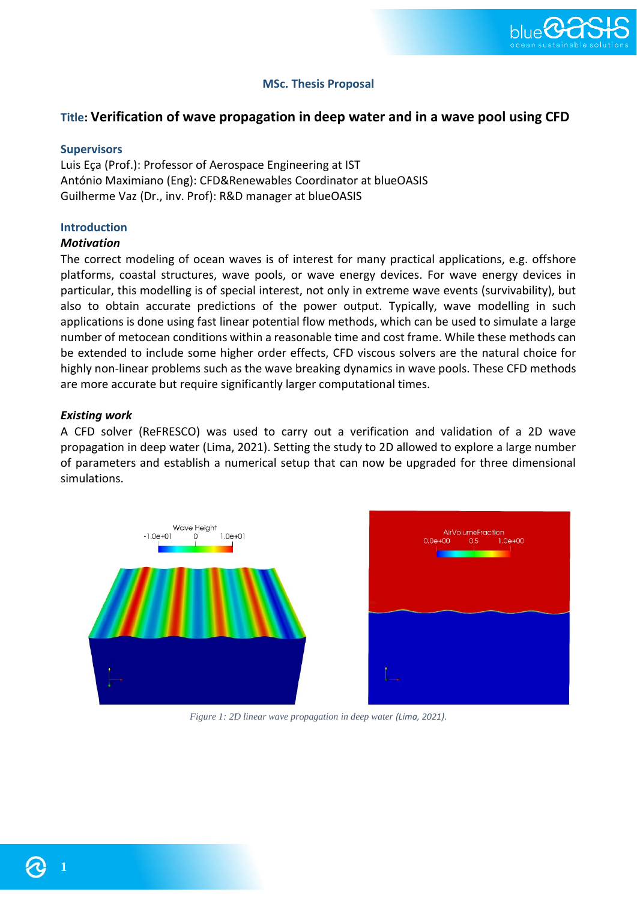

# **MSc. Thesis Proposal**

# **Title: Verification of wave propagation in deep water and in a wave pool using CFD**

### **Supervisors**

Luis Eça (Prof.): Professor of Aerospace Engineering at IST António Maximiano (Eng): CFD&Renewables Coordinator at blueOASIS Guilherme Vaz (Dr., inv. Prof): R&D manager at blueOASIS

## **Introduction**

#### *Motivation*

The correct modeling of ocean waves is of interest for many practical applications, e.g. offshore platforms, coastal structures, wave pools, or wave energy devices. For wave energy devices in particular, this modelling is of special interest, not only in extreme wave events (survivability), but also to obtain accurate predictions of the power output. Typically, wave modelling in such applications is done using fast linear potential flow methods, which can be used to simulate a large number of metocean conditions within a reasonable time and cost frame. While these methods can be extended to include some higher order effects, CFD viscous solvers are the natural choice for highly non-linear problems such as the wave breaking dynamics in wave pools. These CFD methods are more accurate but require significantly larger computational times.

## *Existing work*

A CFD solver (ReFRESCO) was used to carry out a verification and validation of a 2D wave propagation in deep water (Lima, 2021). Setting the study to 2D allowed to explore a large number of parameters and establish a numerical setup that can now be upgraded for three dimensional simulations.





*Figure 1: 2D linear wave propagation in deep water (Lima, 2021).*

**1**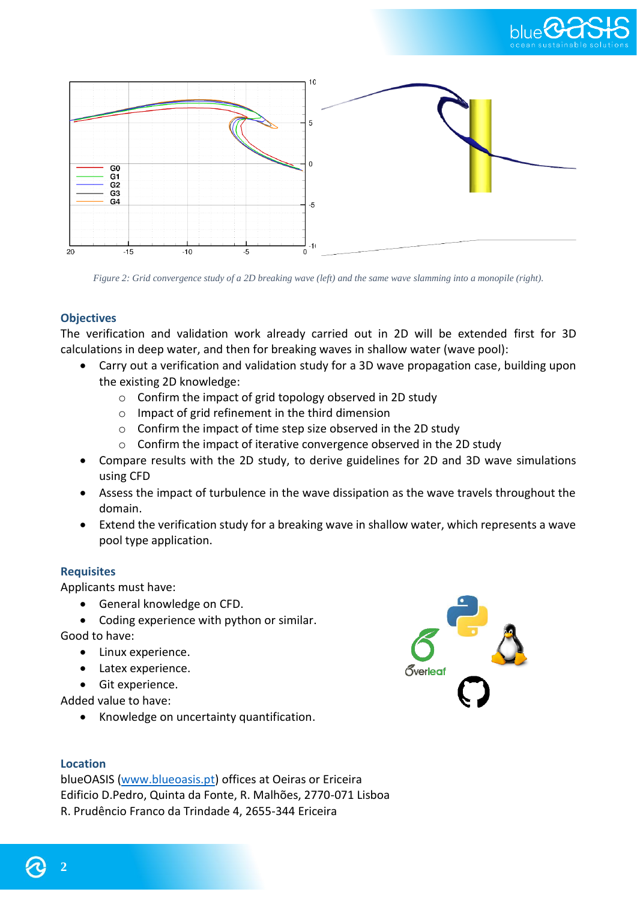



*Figure 2: Grid convergence study of a 2D breaking wave (left) and the same wave slamming into a monopile (right).*

## **Objectives**

The verification and validation work already carried out in 2D will be extended first for 3D calculations in deep water, and then for breaking waves in shallow water (wave pool):

- Carry out a verification and validation study for a 3D wave propagation case, building upon the existing 2D knowledge:
	- o Confirm the impact of grid topology observed in 2D study
	- o Impact of grid refinement in the third dimension
	- o Confirm the impact of time step size observed in the 2D study
	- o Confirm the impact of iterative convergence observed in the 2D study
- Compare results with the 2D study, to derive guidelines for 2D and 3D wave simulations using CFD
- Assess the impact of turbulence in the wave dissipation as the wave travels throughout the domain.
- Extend the verification study for a breaking wave in shallow water, which represents a wave pool type application.

## **Requisites**

Applicants must have:

- General knowledge on CFD.
- Coding experience with python or similar.

Good to have:

- Linux experience.
- Latex experience.
- Git experience.

Added value to have:

• Knowledge on uncertainty quantification.



blueOASIS [\(www.blueoasis.pt\)](http://www.blueoasis.pt/) offices at Oeiras or Ericeira Edificio D.Pedro, Quinta da Fonte, R. Malhões, 2770-071 Lisboa R. Prudêncio Franco da Trindade 4, 2655-344 Ericeira



**2**